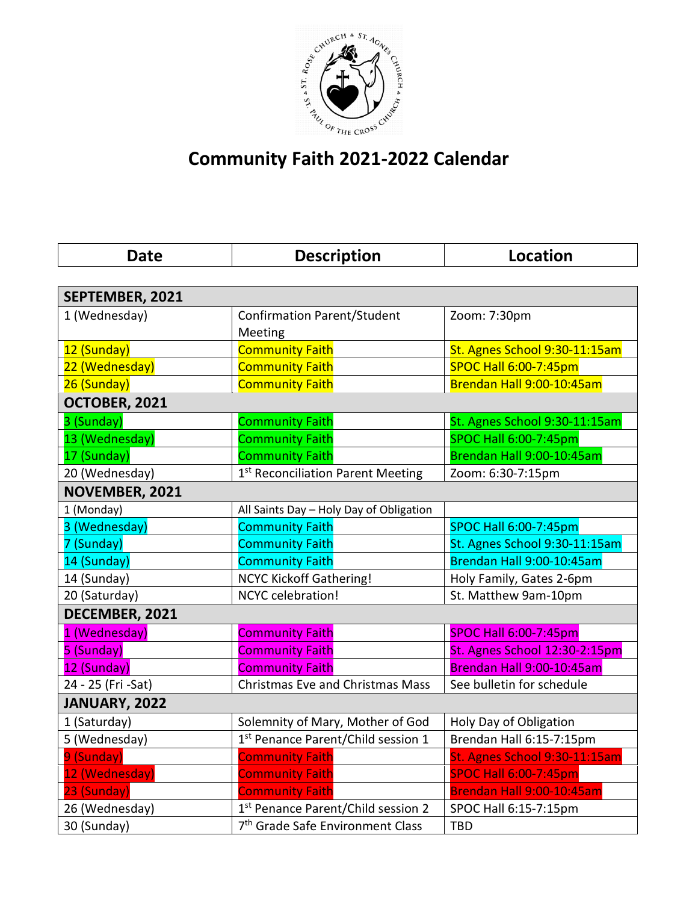

## **Community Faith 2021-2022 Calendar**

| <b>Date</b>        | <b>Description</b>                           | <b>Location</b>               |  |
|--------------------|----------------------------------------------|-------------------------------|--|
|                    |                                              |                               |  |
| SEPTEMBER, 2021    |                                              |                               |  |
| 1 (Wednesday)      | <b>Confirmation Parent/Student</b>           | Zoom: 7:30pm                  |  |
|                    | Meeting                                      |                               |  |
| 12 (Sunday)        | <b>Community Faith</b>                       | St. Agnes School 9:30-11:15am |  |
| 22 (Wednesday)     | <b>Community Faith</b>                       | <b>SPOC Hall 6:00-7:45pm</b>  |  |
| 26 (Sunday)        | <b>Community Faith</b>                       | Brendan Hall 9:00-10:45am     |  |
| OCTOBER, 2021      |                                              |                               |  |
| 3 (Sunday)         | <b>Community Faith</b>                       | St. Agnes School 9:30-11:15am |  |
| 13 (Wednesday)     | <b>Community Faith</b>                       | <b>SPOC Hall 6:00-7:45pm</b>  |  |
| 17 (Sunday)        | <b>Community Faith</b>                       | Brendan Hall 9:00-10:45am     |  |
| 20 (Wednesday)     | 1st Reconciliation Parent Meeting            | Zoom: 6:30-7:15pm             |  |
| NOVEMBER, 2021     |                                              |                               |  |
| 1 (Monday)         | All Saints Day - Holy Day of Obligation      |                               |  |
| 3 (Wednesday)      | <b>Community Faith</b>                       | <b>SPOC Hall 6:00-7:45pm</b>  |  |
| 7 (Sunday)         | <b>Community Faith</b>                       | St. Agnes School 9:30-11:15am |  |
| 14 (Sunday)        | <b>Community Faith</b>                       | Brendan Hall 9:00-10:45am     |  |
| 14 (Sunday)        | <b>NCYC Kickoff Gathering!</b>               | Holy Family, Gates 2-6pm      |  |
| 20 (Saturday)      | NCYC celebration!                            | St. Matthew 9am-10pm          |  |
| DECEMBER, 2021     |                                              |                               |  |
| 1 (Wednesday)      | <b>Community Faith</b>                       | <b>SPOC Hall 6:00-7:45pm</b>  |  |
| 5 (Sunday)         | <b>Community Faith</b>                       | St. Agnes School 12:30-2:15pm |  |
| 12 (Sunday)        | <b>Community Faith</b>                       | Brendan Hall 9:00-10:45am     |  |
| 24 - 25 (Fri -Sat) | <b>Christmas Eve and Christmas Mass</b>      | See bulletin for schedule     |  |
| JANUARY, 2022      |                                              |                               |  |
| 1 (Saturday)       | Solemnity of Mary, Mother of God             | Holy Day of Obligation        |  |
| 5 (Wednesday)      | 1st Penance Parent/Child session 1           | Brendan Hall 6:15-7:15pm      |  |
| 9 (Sunday)         | <b>Community Faith</b>                       | St. Agnes School 9:30-11:15am |  |
| 12 (Wednesday)     | <b>Community Faith</b>                       | <b>SPOC Hall 6:00-7:45pm</b>  |  |
| 23 (Sunday)        | <b>Community Faith</b>                       | Brendan Hall 9:00-10:45am     |  |
| 26 (Wednesday)     | 1st Penance Parent/Child session 2           | SPOC Hall 6:15-7:15pm         |  |
| 30 (Sunday)        | 7 <sup>th</sup> Grade Safe Environment Class | <b>TBD</b>                    |  |